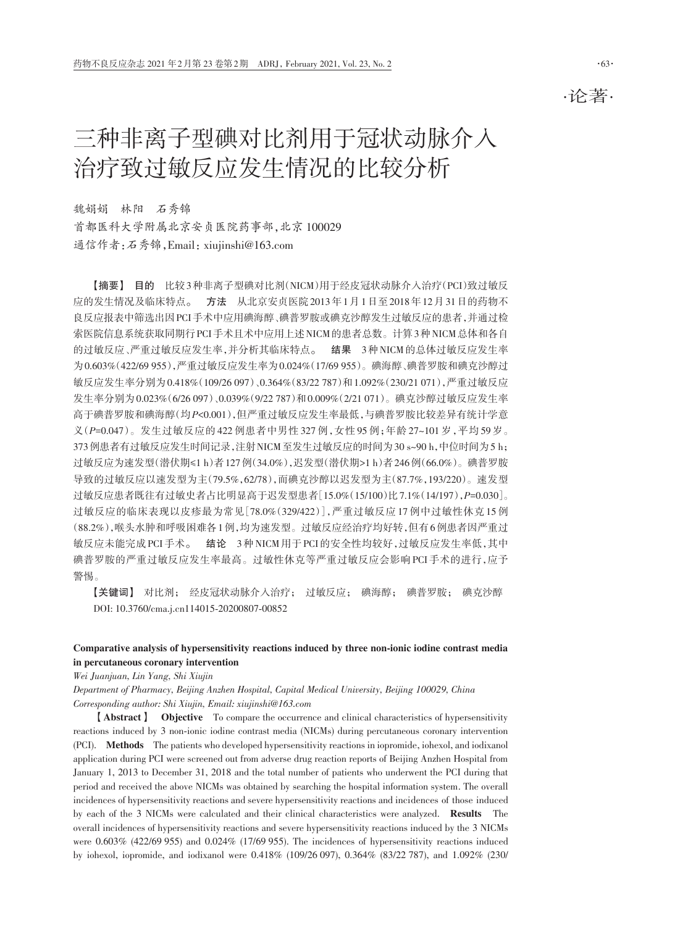·论著·

# 三种非离子型碘对比剂用于冠状动脉介入 治疗致过敏反应发生情况的比较分析

魏娟娟 林阳 石秀锦 首都医科大学附属北京安贞医院药事部,北京 100029 通信作者:石秀锦,Email:xiujinshi@163.com

【摘要】 目的 比较3种非离子型碘对比剂(NICM)用于经皮冠状动脉介入治疗(PCI)致过敏反 应的发生情况及临床特点。 方法 从北京安贞医院2013年1月1日至2018年12月31日的药物不 良反应报表中筛选出因PCI手术中应用碘海醇、碘普罗胺或碘克沙醇发生过敏反应的患者,并通过检 索医院信息系统获取同期行PCI手术且术中应用上述NICM的患者总数。计算3种NICM总体和各自 的过敏反应、严重过敏反应发生率,并分析其临床特点。 结果 3种NICM的总体过敏反应发生率 为0.603%(422/69 955),严重过敏反应发生率为0.024%(17/69 955)。碘海醇、碘普罗胺和碘克沙醇过 敏反应发生率分别为0.418%(109/26 097)、0.364%(83/22 787)和1.092%(230/21 071),严重过敏反应 发生率分别为0.023%(6/26 097)、0.039%(9/22 787)和0.009%(2/21 071)。碘克沙醇过敏反应发生率 高于碘普罗胺和碘海醇(均*P<*0.001),但严重过敏反应发生率最低,与碘普罗胺比较差异有统计学意 义(*P=*0.047)。发生过敏反应的 422 例患者中男性 327 例,女性 95 例;年龄 27~101 岁,平均 59 岁。 373例患者有过敏反应发生时间记录,注射NICM至发生过敏反应的时间为30 s~90 h,中位时间为5 h; 过敏反应为速发型(潜伏期≤1 h)者127例(34.0%),迟发型(潜伏期>1 h)者246例(66.0%)。碘普罗胺 导致的过敏反应以速发型为主(79.5%,62/78),而碘克沙醇以迟发型为主(87.7%,193/220)。速发型 过敏反应患者既往有过敏史者占比明显高于迟发型患者[15.0%(15/100)比7.1%(14/197),*P=*0.030]。 过敏反应的临床表现以皮疹最为常见[78.0%(329/422)],严重过敏反应 17 例中过敏性休克 15 例 (88.2%),喉头水肿和呼吸困难各1例,均为速发型。过敏反应经治疗均好转,但有6例患者因严重过 敏反应未能完成PCI手术。 结论 3种NICM用于PCI的安全性均较好,过敏反应发生率低,其中 碘普罗胺的严重过敏反应发生率最高。过敏性休克等严重过敏反应会影响 PCI 手术的进行,应予 警惕。

【关键词】 对比剂; 经皮冠状动脉介入治疗; 过敏反应; 碘海醇; 碘普罗胺; 碘克沙醇 DOI: 10.3760/cma.j.cn114015‑20200807‑00852

## Comparative analysis of hypersensitivity reactions induced by three non-ionic iodine contrast media in percutaneous coronary intervention

*Wei Juanjuan, Lin Yang, Shi Xiujin*

*Department of Pharmacy, Beijing Anzhen Hospital, Capital Medical University, Beijing 100029, China Corresponding author: Shi Xiujin, Email: xiujinshi@163.com*

【Abstract】 Objective To compare the occurrence and clinical characteristics of hypersensitivity reactions induced by 3 non-ionic iodine contrast media (NICMs) during percutaneous coronary intervention (PCI). Methods The patients who developed hypersensitivity reactions in iopromide, iohexol, and iodixanol application during PCI were screened out from adverse drug reaction reports of Beijing Anzhen Hospital from January 1, 2013 to December 31, 2018 and the total number of patients who underwent the PCI during that period and received the above NICMs was obtained by searching the hospital information system. The overall incidences of hypersensitivity reactions and severe hypersensitivity reactions and incidences of those induced by each of the 3 NICMs were calculated and their clinical characteristics were analyzed. Results The overall incidences of hypersensitivity reactions and severe hypersensitivity reactions induced by the 3 NICMs were 0.603% (422/69 955) and 0.024% (17/69 955). The incidences of hypersensitivity reactions induced by iohexol, iopromide, and iodixanol were 0.418% (109/26 097), 0.364% (83/22 787), and 1.092% (230/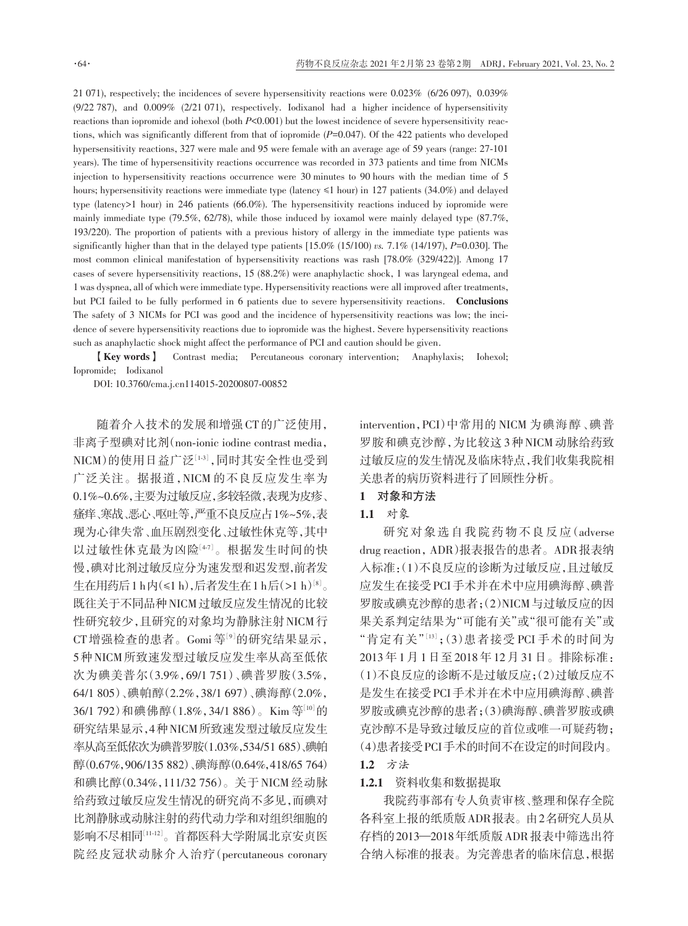21 071), respectively; the incidences of severe hypersensitivity reactions were 0.023% (6/26 097), 0.039% (9/22 787), and 0.009% (2/21 071), respectively. Iodixanol had a higher incidence of hypersensitivity reactions than iopromide and iohexol (both *P*<0.001) but the lowest incidence of severe hypersensitivity reactions, which was significantly different from that of iopromide (*P=*0.047). Of the 422 patients who developed hypersensitivity reactions, 327 were male and 95 were female with an average age of 59 years (range: 27‑101 years). The time of hypersensitivity reactions occurrence was recorded in 373 patients and time from NICMs injection to hypersensitivity reactions occurrence were 30 minutes to 90 hours with the median time of 5 hours; hypersensitivity reactions were immediate type (latency ≤1 hour) in 127 patients (34.0%) and delayed type (latency>1 hour) in 246 patients (66.0%). The hypersensitivity reactions induced by iopromide were mainly immediate type (79.5%, 62/78), while those induced by ioxamol were mainly delayed type (87.7%, 193/220). The proportion of patients with a previous history of allergy in the immediate type patients was significantly higher than that in the delayed type patients [15.0% (15/100) *vs.* 7.1% (14/197), *P=*0.030]. The most common clinical manifestation of hypersensitivity reactions was rash [78.0% (329/422)]. Among 17 cases of severe hypersensitivity reactions, 15 (88.2%) were anaphylactic shock, 1 was laryngeal edema, and 1 was dyspnea, all of which were immediate type. Hypersensitivity reactions were all improved after treatments, but PCI failed to be fully performed in 6 patients due to severe hypersensitivity reactions. Conclusions The safety of 3 NICMs for PCI was good and the incidence of hypersensitivity reactions was low; the incidence of severe hypersensitivity reactions due to iopromide was the highest. Severe hypersensitivity reactions such as anaphylactic shock might affect the performance of PCI and caution should be given.

【Key words】 Contrast media; Percutaneous coronary intervention; Anaphylaxis; Iohexol; Iopromide; Iodixanol

DOI: 10.3760/cma.j.cn114015‑20200807‑00852

随着介入技术的发展和增强CT的广泛使用, 非离子型碘对比剂(non-ionic iodine contrast media, NICM)的使用日益广泛[1-3],同时其安全性也受到 广泛关注。据报道,NICM 的不良反应发生率为 0.1%~0.6%,主要为过敏反应,多较轻微,表现为皮疹、 瘙痒、寒战、恶心、呕吐等,严重不良反应占1%~5%,表 现为心律失常、血压剧烈变化、过敏性休克等,其中 以过敏性休克最为凶险[47]。根据发生时间的快 慢,碘对比剂过敏反应分为速发型和迟发型,前者发 生在用药后 1 h内(≤1 h),后者发生在 1 h后(>1 h)'<sup>8」</sup>。 既往关于不同品种NICM过敏反应发生情况的比较 性研究较少,且研究的对象均为静脉注射NICM行 CT增强检查的患者。Gomi 等[9] 的研究结果显示, 5种NICM所致速发型过敏反应发生率从高至低依 次为碘美普尔(3.9%,69/1 751)、碘普罗胺(3.5%, 64/1 805)、碘帕醇(2.2%,38/1 697)、碘海醇(2.0%, 36/1 792)和碘佛醇(1.8%, 34/1 886)。Kim 等[10]的 研究结果显示,4种NICM所致速发型过敏反应发生 率从高至低依次为碘普罗胺(1.03%,534/51 685)、碘帕 醇(0.67%,906/135 882)、碘海醇(0.64%,418/65 764) 和碘比醇(0.34%,111/32 756)。关于 NICM 经动脉 给药致过敏反应发生情况的研究尚不多见,而碘对 比剂静脉或动脉注射的药代动力学和对组织细胞的 影响不尽相同[11‑12] 。首都医科大学附属北京安贞医 院经皮冠状动脉介入治疗(percutaneous coronary

intervention,PCI)中常用的 NICM 为碘海醇、碘普 罗胺和碘克沙醇,为比较这 3种NICM动脉给药致 过敏反应的发生情况及临床特点,我们收集我院相 关患者的病历资料进行了回顾性分析。

## 1 对象和方法

# 1.1 对象

研究对象选自我院药物不良反应(adverse drug reaction,ADR)报表报告的患者。ADR报表纳 入标准:(1)不良反应的诊断为过敏反应,且过敏反 应发生在接受PCI手术并在术中应用碘海醇、碘普 罗胺或碘克沙醇的患者;(2)NICM与过敏反应的因 果关系判定结果为"可能有关"或"很可能有关"或 "肯定有关"[13];(3)患者接受 PCI 手术的时间为 2013年1月1日至2018年12月31日。排除标准: (1)不良反应的诊断不是过敏反应;(2)过敏反应不 是发生在接受PCI手术并在术中应用碘海醇、碘普 罗胺或碘克沙醇的患者;(3)碘海醇、碘普罗胺或碘 克沙醇不是导致过敏反应的首位或唯一可疑药物; (4)患者接受PCI手术的时间不在设定的时间段内。 1.2 方法

#### 1.2.1 资料收集和数据提取

我院药事部有专人负责审核、整理和保存全院 各科室上报的纸质版ADR报表。由2名研究人员从 存档的2013—2018年纸质版ADR报表中筛选出符 合纳入标准的报表。为完善患者的临床信息,根据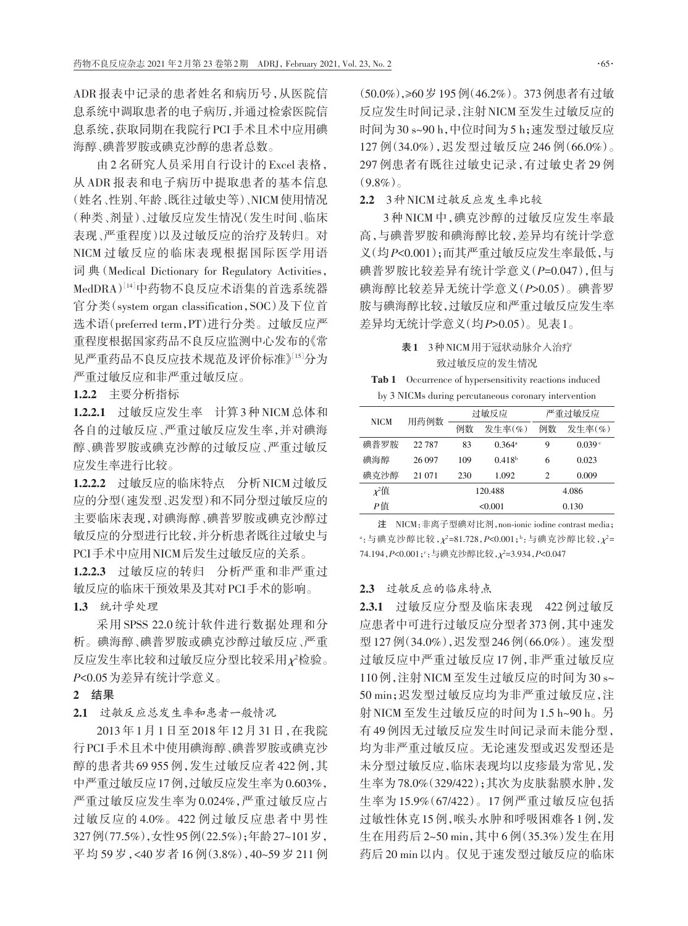ADR 报表中记录的患者姓名和病历号,从医院信 息系统中调取患者的电子病历,并通过检索医院信 息系统,获取同期在我院行PCI手术且术中应用碘 海醇、碘普罗胺或碘克沙醇的患者总数。

由 2 名研究人员采用自行设计的 Excel 表格, 从 ADR 报表和电子病历中提取患者的基本信息 (姓名、性别、年龄、既往过敏史等)、NICM使用情况 (种类、剂量)、过敏反应发生情况(发生时间、临床 表现、严重程度)以及过敏反应的治疗及转归。对 NICM 过敏反应的临床表现根据国际医学用语 词 典(Medical Dictionary for Regulatory Activities, MedDRA) $^{[14]}$ 中药物不良反应术语集的首选系统器 官分类(system organ classification,SOC)及下位首 选术语(preferred term,PT)进行分类。过敏反应严 重程度根据国家药品不良反应监测中心发布的《常 见严重药品不良反应技术规范及评价标准》[15] 分为 严重过敏反应和非严重过敏反应。

1.2.2 主要分析指标

1.2.2.1 过敏反应发生率 计算3种NICM总体和 各自的过敏反应、严重过敏反应发生率,并对碘海 醇、碘普罗胺或碘克沙醇的过敏反应、严重过敏反 应发生率进行比较。

1.2.2.2 过敏反应的临床特点 分析NICM过敏反 应的分型(速发型、迟发型)和不同分型过敏反应的 主要临床表现,对碘海醇、碘普罗胺或碘克沙醇过 敏反应的分型进行比较,并分析患者既往过敏史与 PCI手术中应用NICM后发生过敏反应的关系。

1.2.2.3 过敏反应的转归 分析严重和非严重过 敏反应的临床干预效果及其对PCI手术的影响。

1.3 统计学处理

采用 SPSS 22.0 统计软件进行数据处理和分 析。碘海醇、碘普罗胺或碘克沙醇过敏反应、严重 反应发生率比较和过敏反应分型比较采用*χ*²检验。 *P<*0.05为差异有统计学意义。

#### 2 结果

## 2.1 过敏反应总发生率和患者一般情况

2013 年 1 月 1 日至 2018 年 12 月 31 日,在我院 行PCI手术且术中使用碘海醇、碘普罗胺或碘克沙 醇的患者共 69 955 例,发生过敏反应者 422 例,其 中严重过敏反应17例,过敏反应发生率为0.603%, 严重过敏反应发生率为 0.024%,严重过敏反应占 过敏反应的 4.0%。422 例过敏反应患者中男性 327例(77.5%),女性95例(22.5%);年龄27~101岁, 平均 59 岁,<40 岁者 16 例(3.8%),40~59 岁 211 例 (50.0%),≥60岁195例(46.2%)。373例患者有过敏 反应发生时间记录,注射NICM至发生过敏反应的 时间为30 s~90 h,中位时间为5 h;速发型过敏反应 127 例(34.0%),迟发型过敏反应 246 例(66.0%)。 297 例患者有既往过敏史记录,有过敏史者 29 例  $(9.8\%)$ 

2.2 3种NICM过敏反应发生率比较

3 种 NICM 中,碘克沙醇的过敏反应发生率最 高,与碘普罗胺和碘海醇比较,差异均有统计学意 义(均*P<*0.001);而其严重过敏反应发生率最低,与 碘普罗胺比较差异有统计学意义(*P=*0.047),但与 碘海醇比较差异无统计学意义(*P>*0.05)。碘普罗 胺与碘海醇比较,过敏反应和严重过敏反应发生率 差异均无统计学意义(均*P>*0.05)。见表1。

# 表1 3种NICM用于冠状动脉介入治疗 致过敏反应的发生情况

Tab 1 Occurrence of hypersensitivity reactions induced<br>by 2 MICMs during populations as connomiated internation

| <b>NICM</b> | 用药例数     |     | 过敏反应               | 严重讨敏反应 |                    |  |
|-------------|----------|-----|--------------------|--------|--------------------|--|
|             |          | 例数  | 发生率 $(\%$          | 例数     | 发生率 $(\%$          |  |
| 碘普罗胺        | 22 7 8 7 | 83  | $0.364^{\rm a}$    | 9      | 0.039 <sup>e</sup> |  |
| 碘海醇         | 26 097   | 109 | 0.418 <sup>b</sup> | 6      | 0.023              |  |
| 碘克沙醇        | 21 071   | 230 | 1.092              | 2      | 0.009              |  |
| $x^2$ 值     |          |     | 120.488            | 4.086  |                    |  |
| Р值          |          |     | < 0.001            | 0.130  |                    |  |

注 NICM:非离子型碘对比剂,non‑ionic iodine contrast media; a :与碘克沙醇比较,*χ*²=81.728,*P<*0.001;<sup>b</sup> :与碘克沙醇比较,*χ*²= 74.194,*P<*0.001;<sup>c</sup> :与碘克沙醇比较,*χ*²=3.934,*P<*0.047

### 2.3 过敏反应的临床特点

2.3.1 过敏反应分型及临床表现 422 例过敏反 应患者中可进行过敏反应分型者373例,其中速发 型127例(34.0%),迟发型246例(66.0%)。速发型 过敏反应中严重过敏反应 17 例,非严重过敏反应 110例,注射NICM至发生过敏反应的时间为30 s~ 50 min;迟发型过敏反应均为非严重过敏反应,注 射NICM至发生过敏反应的时间为1.5 h~90 h。另 有 49 例因无过敏反应发生时间记录而未能分型, 均为非严重过敏反应。无论速发型或迟发型还是 未分型过敏反应,临床表现均以皮疹最为常见,发 生率为78.0%(329/422);其次为皮肤黏膜水肿,发 生率为 15.9%(67/422)。17 例严重过敏反应包括 过敏性休克15例,喉头水肿和呼吸困难各1例,发 生在用药后 2~50 min,其中 6 例(35.3%)发生在用 药后20 min以内。仅见于速发型过敏反应的临床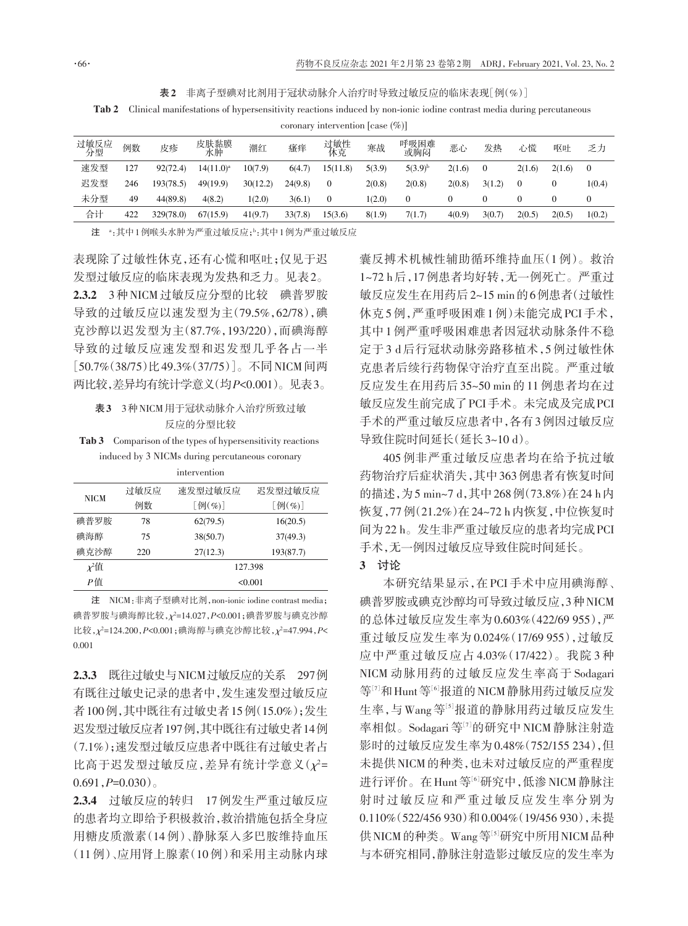表2 非离子型碘对比剂用于冠状动脉介入治疗时导致过敏反应的临床表现[例(%)]

Tab 2 Clinical manifestations of hypersensitivity reactions induced by non-ionic iodine contrast media during percutaneous

| coronary intervention [case $(\%)$ ] |     |           |              |          |         |              |        |              |        |          |                |          |          |
|--------------------------------------|-----|-----------|--------------|----------|---------|--------------|--------|--------------|--------|----------|----------------|----------|----------|
| 过敏反应<br>分型                           | 例数  | 皮疹        | 皮肤黏膜<br>水肿   | 潮红       | 瘙痒      | 过敏性<br>休克    | 寒战     | 呼吸困难<br>或胸闷  | 恶心     | 发热       | 心慌             | 呕吐       | 乏力       |
| 速发型                                  | 127 | 92(72.4)  | $14(11.0)^a$ | 10(7.9)  | 6(4.7)  | 15(11.8)     | 5(3.9) | $5(3.9)^{b}$ | 2(1.6) | $\Omega$ | 2(1.6)         | 2(1.6)   | $\Omega$ |
| 迟发型                                  | 246 | 193(78.5) | 49(19.9)     | 30(12.2) | 24(9.8) | $\mathbf{0}$ | 2(0.8) | 2(0.8)       | 2(0.8) | 3(1.2)   | $\overline{0}$ | $\theta$ | 1(0.4)   |
| 未分型                                  | 49  | 44(89.8)  | 4(8.2)       | 1(2.0)   | 3(6.1)  | $\theta$     | 1(2.0) | $\mathbf{0}$ | 0      |          |                |          | $\theta$ |
| 合计                                   | 422 | 329(78.0) | 67(15.9)     | 41(9.7)  | 33(7.8) | 15(3.6)      | 8(1.9) | 7(1.7)       | 4(0.9) | 3(0.7)   | 2(0.5)         | 2(0.5)   | 1(0.2)   |
|                                      |     |           |              |          |         |              |        |              |        |          |                |          |          |

**注** ":其中1例喉头水肿为严重过敏反应;<sup>p</sup>:其中1例为严重过敏反应

表现除了过敏性休克,还有心慌和呕吐;仅见于迟 发型过敏反应的临床表现为发热和乏力。见表2。 2.3.2 3种NICM过敏反应分型的比较 碘普罗胺 导致的过敏反应以速发型为主(79.5%,62/78),碘 克沙醇以迟发型为主(87.7%,193/220),而碘海醇 导致的过敏反应速发型和迟发型几乎各占一半 [50.7%(38/75)比49.3%(37/75)]。不同NICM间两 两比较,差异均有统计学意义(均*P*<0.001)。见表3。

## 表3 3种NICM用于冠状动脉介入治疗所致过敏 反应的分型比较

Tab 3 Comparison of the types of hypersensitivity reactions induced by 3 NICMs during percutaneous coronary

|                  |      | intervention                          |               |  |  |  |  |
|------------------|------|---------------------------------------|---------------|--|--|--|--|
| <b>NICM</b>      | 讨敏反应 | 速发型过敏反应                               | 迟发型讨敏反应       |  |  |  |  |
|                  | 例数   | $[\![\mathfrak{H}(\mathcal{Y}_o)]\!]$ | $[$ 例 $(\%)]$ |  |  |  |  |
| 碘普罗胺             | 78   | 62(79.5)                              | 16(20.5)      |  |  |  |  |
| 碘海醇              | 75   | 38(50.7)                              | 37(49.3)      |  |  |  |  |
| 碘克沙醇             | 220  | 27(12.3)                              | 193(87.7)     |  |  |  |  |
| $x^2 \mathbf{f}$ |      |                                       | 127.398       |  |  |  |  |
| P值               |      | < 0.001                               |               |  |  |  |  |

注 NICM:非离子型碘对比剂,non‑ionic iodine contrast media; 碘普罗胺与碘海醇比较,*χ*²=14.027,*P<*0.001;碘普罗胺与碘克沙醇 比较,*χ*²=124.200,*P<*0.001;碘海醇与碘克沙醇比较,*χ*²=47.994,*P<* 0.001

2.3.3 既往过敏史与NICM过敏反应的关系 297例 有既往过敏史记录的患者中,发生速发型过敏反应 者100例,其中既往有过敏史者15例(15.0%);发生 迟发型过敏反应者197例,其中既往有过敏史者14例 (7.1%);速发型过敏反应患者中既往有过敏史者占 比高于迟发型过敏反应,差异有统计学意义(*χ*²= 0.691,*P=*0.030)。

2.3.4 过敏反应的转归 17例发生严重过敏反应 的患者均立即给予积极救治,救治措施包括全身应 用糖皮质激素(14 例)、静脉泵入多巴胺维持血压 (11例)、应用肾上腺素(10 例)和采用主动脉内球 囊反搏术机械性辅助循环维持血压(1 例)。救治 1~72 h后,17例患者均好转,无一例死亡。严重过 敏反应发生在用药后2~15 min的6例患者(过敏性 休克5例,严重呼吸困难1例)未能完成PCI 手术, 其中 1 例严重呼吸困难患者因冠状动脉条件不稳 定于 3 d 后行冠状动脉旁路移植术,5 例过敏性休 克患者后续行药物保守治疗直至出院。严重过敏 反应发生在用药后 35~50 min 的 11 例患者均在过 敏反应发生前完成了PCI手术。未完成及完成PCI 手术的严重过敏反应患者中,各有3例因过敏反应 导致住院时间延长(延长3~10 d)。

405 例非严重过敏反应患者均在给予抗过敏 药物治疗后症状消失,其中363例患者有恢复时间 的描述,为5 min~7 d,其中268例(73.8%)在24 h内 恢复,77例(21.2%)在24~72 h内恢复,中位恢复时 间为22 h。发生非严重过敏反应的患者均完成PCI 手术,无一例因过敏反应导致住院时间延长。

#### 3 讨论

本研究结果显示,在 PCI 手术中应用碘海醇、 碘普罗胺或碘克沙醇均可导致过敏反应,3种NICM 的总体过敏反应发生率为0.603%(422/69 955),严 重过敏反应发生率为 0.024%(17/69 955),过敏反 应中严重过敏反应占 4.03%(17/422)。我院 3 种 NICM 动脉用药的过敏反应发生率高于 Sodagari 等 $^{[7]}$ 和 Hunt 等 $^{[6]}$ 报道的 NICM 静脉用药过敏反应发 生率,与Wang等[5]报道的静脉用药过敏反应发生 率相似。Sodagari 等[7]的研究中 NICM 静脉注射造 影时的过敏反应发生率为0.48%(752/155 234),但 未提供NICM的种类,也未对过敏反应的严重程度 进行评价。在Hunt等<sup>[6]</sup>研究中,低渗 NICM静脉注 射时过敏反应和严重过敏反应发生率分别为 0.110%(522/456 930)和0.004%(19/456 930),未提 供NICM的种类。Wang等[5]研究中所用NICM品种 与本研究相同,静脉注射造影过敏反应的发生率为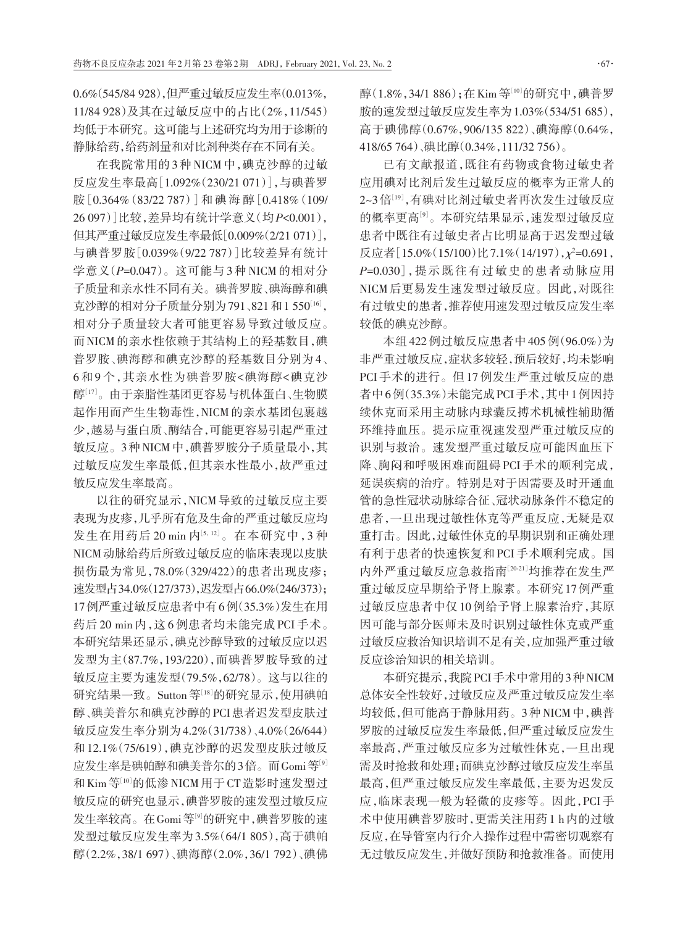0.6%(545/84 928),但严重过敏反应发生率(0.013%, 11/84 928)及其在过敏反应中的占比(2%,11/545) 均低于本研究。这可能与上述研究均为用于诊断的 静脉给药,给药剂量和对比剂种类存在不同有关。

在我院常用的3 种 NICM 中,碘克沙醇的过敏 反应发生率最高[1.092%(230/21 071)],与碘普罗 胺[0.364%(83/22 787)]和 碘 海 醇[0.418%(109/ 26 097)]比较,差异均有统计学意义(均*P<*0.001), 但其严重过敏反应发生率最低[0.009%(2/21 071)], 与碘普罗胺[0.039%(9/22 787)]比较差异有统计 学意义(*P=*0.047)。这可能与 3 种 NICM 的相对分 子质量和亲水性不同有关。碘普罗胺、碘海醇和碘 克沙醇的相对分子质量分别为791、821和1550[16], 相对分子质量较大者可能更容易导致过敏反应。 而NICM的亲水性依赖于其结构上的羟基数目,碘 普罗胺、碘海醇和碘克沙醇的羟基数目分别为4、 6和9 个,其亲水性为碘普罗胺<碘海醇<碘克沙 醇''"。由于亲脂性基团更容易与机体蛋白、生物膜 起作用而产生生物毒性,NICM的亲水基团包裹越 少,越易与蛋白质、酶结合,可能更容易引起严重过 敏反应。3种NICM中,碘普罗胺分子质量最小,其 过敏反应发生率最低,但其亲水性最小,故严重过 敏反应发生率最高。

以往的研究显示,NICM导致的过敏反应主要 表现为皮疹,几乎所有危及生命的严重过敏反应均 发生在用药后 20 min 内[5,12]。在本研究中, 3 种 NICM动脉给药后所致过敏反应的临床表现以皮肤 损伤最为常见,78.0%(329/422)的患者出现皮疹; 速发型占34.0%(127/373),迟发型占66.0%(246/373); 17例严重过敏反应患者中有6例(35.3%)发生在用 药后 20 min 内,这 6 例患者均未能完成 PCI 手术。 本研究结果还显示,碘克沙醇导致的过敏反应以迟 发型为主(87.7%,193/220),而碘普罗胺导致的过 敏反应主要为速发型(79.5%,62/78)。这与以往的 研究结果一致。Sutton 等<sup>[18]</sup>的研究显示,使用碘帕 醇、碘美普尔和碘克沙醇的PCI患者迟发型皮肤过 敏反应发生率分别为4.2%(31/738)、4.0%(26/644) 和 12.1%(75/619),碘克沙醇的迟发型皮肤过敏反 应发生率是碘帕醇和碘美普尔的3倍。而Gomi等<sup>[9]</sup> 和Kim等<sup>10]</sup>的低渗NICM用于CT造影时速发型过 敏反应的研究也显示,碘普罗胺的速发型过敏反应 发生率较高。在Gomi等<sup>9]</sup>的研究中,碘普罗胺的速 发型过敏反应发生率为3.5%(64/1 805),高于碘帕 醇(2.2%,38/1 697)、碘海醇(2.0%,36/1 792)、碘佛

醇(1.8%,34/1 886);在Kim等[10]的研究中,碘普罗 胺的速发型过敏反应发生率为1.03%(534/51 685), 高于碘佛醇(0.67%,906/135 822)、碘海醇(0.64%, 418/65 764)、碘比醇(0.34%,111/32 756)。

已有文献报道,既往有药物或食物过敏史者 应用碘对比剂后发生过敏反应的概率为正常人的 2~3倍[19] ,有碘对比剂过敏史者再次发生过敏反应 的概率更高'9'。本研究结果显示,速发型过敏反应 患者中既往有过敏史者占比明显高于迟发型过敏 反应者[15.0%(15/100)比7.1%(14/197),*χ*²=0.691, *P=*0.030],提示既往有过敏史的患者动脉应用 NICM后更易发生速发型过敏反应。因此,对既往 有过敏史的患者,推荐使用速发型过敏反应发生率 较低的碘克沙醇。

本组422例过敏反应患者中405例(96.0%)为 非严重过敏反应,症状多较轻,预后较好,均未影响 PCI手术的进行。但17例发生严重过敏反应的患 者中6例(35.3%)未能完成PCI手术,其中1例因持 续休克而采用主动脉内球囊反搏术机械性辅助循 环维持血压。提示应重视速发型严重过敏反应的 识别与救治。速发型严重过敏反应可能因血压下 降、胸闷和呼吸困难而阻碍 PCI 手术的顺利完成, 延误疾病的治疗。特别是对于因需要及时开通血 管的急性冠状动脉综合征、冠状动脉条件不稳定的 患者,一旦出现过敏性休克等严重反应,无疑是双 重打击。因此,过敏性休克的早期识别和正确处理 有利于患者的快速恢复和 PCI 手术顺利完成。国 内外严重过敏反应急救指南[20‑21] 均推荐在发生严 重过敏反应早期给予肾上腺素。本研究17例严重 过敏反应患者中仅 10 例给予肾上腺素治疗,其原 因可能与部分医师未及时识别过敏性休克或严重 过敏反应救治知识培训不足有关,应加强严重过敏 反应诊治知识的相关培训。

本研究提示,我院PCI手术中常用的3种NICM 总体安全性较好,过敏反应及严重过敏反应发生率 均较低,但可能高于静脉用药。3种NICM中,碘普 罗胺的过敏反应发生率最低,但严重过敏反应发生 率最高,严重过敏反应多为过敏性休克,一旦出现 需及时抢救和处理;而碘克沙醇过敏反应发生率虽 最高,但严重过敏反应发生率最低,主要为迟发反 应,临床表现一般为轻微的皮疹等。因此,PCI 手 术中使用碘普罗胺时,更需关注用药1 h内的过敏 反应,在导管室内行介入操作过程中需密切观察有 无过敏反应发生,并做好预防和抢救准备。而使用